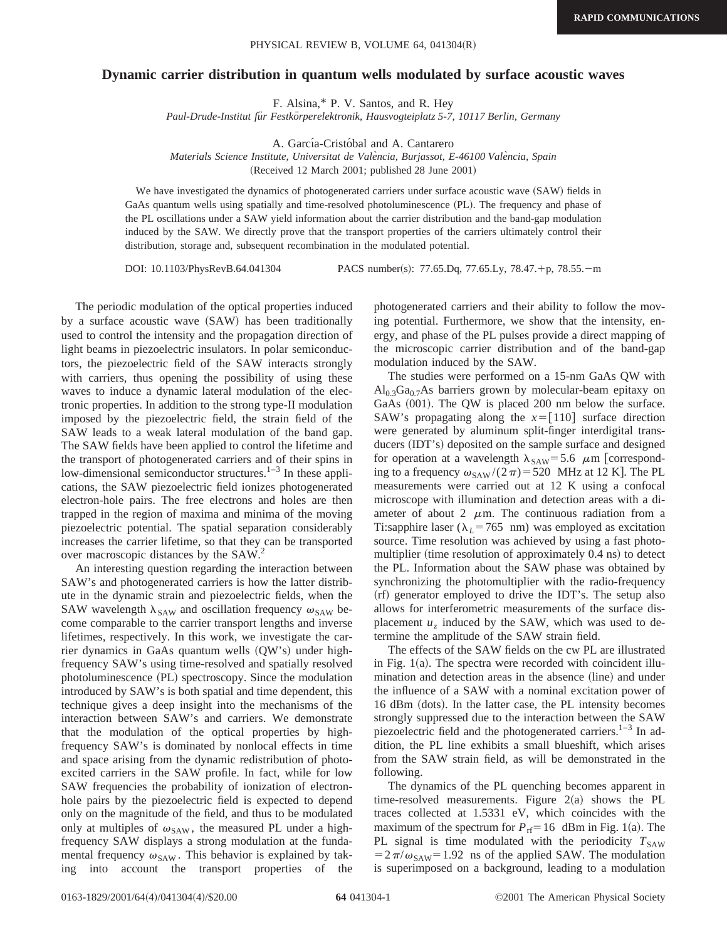## **Dynamic carrier distribution in quantum wells modulated by surface acoustic waves**

F. Alsina,\* P. V. Santos, and R. Hey

*Paul-Drude-Institut fu¨r Festko¨rperelektronik, Hausvogteiplatz 5-7, 10117 Berlin, Germany*

A. García-Cristóbal and A. Cantarero

*Materials Science Institute, Universitat de Vale`ncia, Burjassot, E-46100 Vale`ncia, Spain*

(Received 12 March 2001; published 28 June 2001)

We have investigated the dynamics of photogenerated carriers under surface acoustic wave (SAW) fields in GaAs quantum wells using spatially and time-resolved photoluminescence (PL). The frequency and phase of the PL oscillations under a SAW yield information about the carrier distribution and the band-gap modulation induced by the SAW. We directly prove that the transport properties of the carriers ultimately control their distribution, storage and, subsequent recombination in the modulated potential.

DOI: 10.1103/PhysRevB.64.041304 PACS number(s): 77.65.Dq, 77.65.Ly, 78.47.<sup>+</sup>p, 78.55.-m

The periodic modulation of the optical properties induced by a surface acoustic wave  $(SAW)$  has been traditionally used to control the intensity and the propagation direction of light beams in piezoelectric insulators. In polar semiconductors, the piezoelectric field of the SAW interacts strongly with carriers, thus opening the possibility of using these waves to induce a dynamic lateral modulation of the electronic properties. In addition to the strong type-II modulation imposed by the piezoelectric field, the strain field of the SAW leads to a weak lateral modulation of the band gap. The SAW fields have been applied to control the lifetime and the transport of photogenerated carriers and of their spins in low-dimensional semiconductor structures. $1-3$  In these applications, the SAW piezoelectric field ionizes photogenerated electron-hole pairs. The free electrons and holes are then trapped in the region of maxima and minima of the moving piezoelectric potential. The spatial separation considerably increases the carrier lifetime, so that they can be transported over macroscopic distances by the SAW.<sup>2</sup>

An interesting question regarding the interaction between SAW's and photogenerated carriers is how the latter distribute in the dynamic strain and piezoelectric fields, when the SAW wavelength  $\lambda_{SAW}$  and oscillation frequency  $\omega_{SAW}$  become comparable to the carrier transport lengths and inverse lifetimes, respectively. In this work, we investigate the carrier dynamics in GaAs quantum wells  $(QW's)$  under highfrequency SAW's using time-resolved and spatially resolved photoluminescence (PL) spectroscopy. Since the modulation introduced by SAW's is both spatial and time dependent, this technique gives a deep insight into the mechanisms of the interaction between SAW's and carriers. We demonstrate that the modulation of the optical properties by highfrequency SAW's is dominated by nonlocal effects in time and space arising from the dynamic redistribution of photoexcited carriers in the SAW profile. In fact, while for low SAW frequencies the probability of ionization of electronhole pairs by the piezoelectric field is expected to depend only on the magnitude of the field, and thus to be modulated only at multiples of  $\omega_{SAW}$ , the measured PL under a highfrequency SAW displays a strong modulation at the fundamental frequency  $\omega_{\text{SAW}}$ . This behavior is explained by taking into account the transport properties of the photogenerated carriers and their ability to follow the moving potential. Furthermore, we show that the intensity, energy, and phase of the PL pulses provide a direct mapping of the microscopic carrier distribution and of the band-gap modulation induced by the SAW.

The studies were performed on a 15-nm GaAs QW with  $Al<sub>0.3</sub>Ga<sub>0.7</sub>As barriers grown by molecular-beam epitaxy on$ GaAs  $(001)$ . The QW is placed 200 nm below the surface. SAW's propagating along the  $x=[110]$  surface direction were generated by aluminum split-finger interdigital transducers (IDT's) deposited on the sample surface and designed for operation at a wavelength  $\lambda_{SAW}$ = 5.6  $\mu$ m [corresponding to a frequency  $\omega_{\text{SAW}} / (2\pi) = 520$  MHz at 12 K]. The PL measurements were carried out at 12 K using a confocal microscope with illumination and detection areas with a diameter of about 2  $\mu$ m. The continuous radiation from a Ti:sapphire laser ( $\lambda_L$ =765 nm) was employed as excitation source. Time resolution was achieved by using a fast photomultiplier (time resolution of approximately  $0.4$  ns) to detect the PL. Information about the SAW phase was obtained by synchronizing the photomultiplier with the radio-frequency (rf) generator employed to drive the IDT's. The setup also allows for interferometric measurements of the surface displacement  $u<sub>z</sub>$  induced by the SAW, which was used to determine the amplitude of the SAW strain field.

The effects of the SAW fields on the cw PL are illustrated in Fig.  $1(a)$ . The spectra were recorded with coincident illumination and detection areas in the absence (line) and under the influence of a SAW with a nominal excitation power of 16 dBm (dots). In the latter case, the PL intensity becomes strongly suppressed due to the interaction between the SAW piezoelectric field and the photogenerated carriers. $1-3$  In addition, the PL line exhibits a small blueshift, which arises from the SAW strain field, as will be demonstrated in the following.

The dynamics of the PL quenching becomes apparent in time-resolved measurements. Figure  $2(a)$  shows the PL traces collected at 1.5331 eV, which coincides with the maximum of the spectrum for  $P_{\text{rf}}=16~$  dBm in Fig. 1(a). The PL signal is time modulated with the periodicity  $T_{SAW}$  $=2\pi/\omega_{\text{SAW}}=1.92$  ns of the applied SAW. The modulation is superimposed on a background, leading to a modulation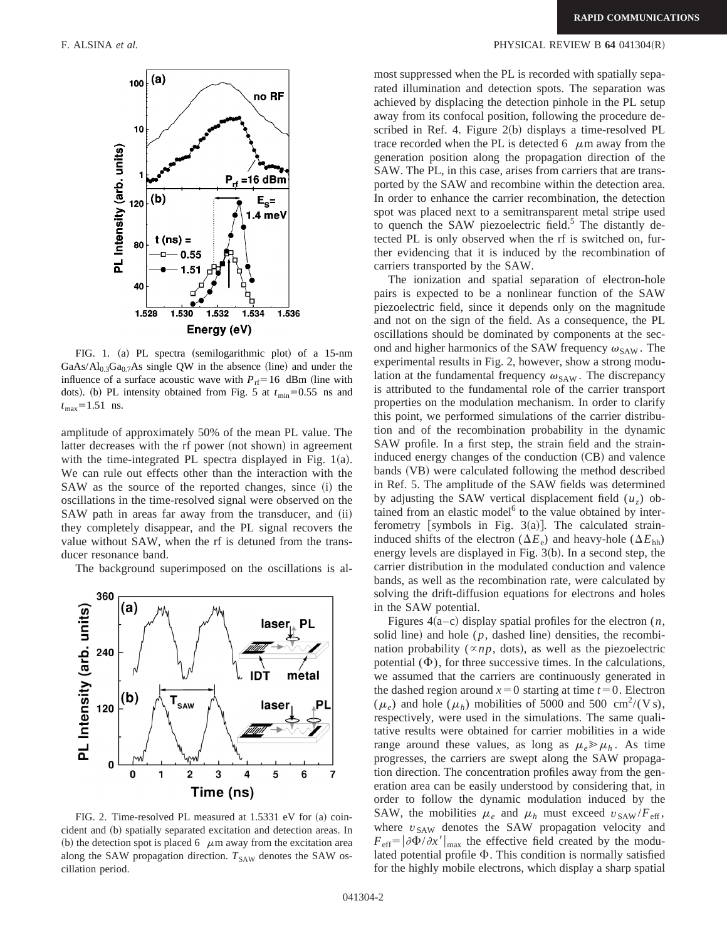

FIG. 1. (a) PL spectra (semilogarithmic plot) of a 15-nm GaAs/ $Al_{0,3}Ga_{0,7}As$  single QW in the absence (line) and under the influence of a surface acoustic wave with  $P_{rf} = 16$  dBm (line with dots). (b) PL intensity obtained from Fig. 5 at  $t_{\text{min}}=0.55$  ns and  $t_{\text{max}}$ =1.51 ns.

amplitude of approximately 50% of the mean PL value. The latter decreases with the rf power (not shown) in agreement with the time-integrated PL spectra displayed in Fig.  $1(a)$ . We can rule out effects other than the interaction with the SAW as the source of the reported changes, since  $(i)$  the oscillations in the time-resolved signal were observed on the SAW path in areas far away from the transducer, and (ii) they completely disappear, and the PL signal recovers the value without SAW, when the rf is detuned from the transducer resonance band.

The background superimposed on the oscillations is al-



FIG. 2. Time-resolved PL measured at  $1.5331$  eV for (a) coincident and (b) spatially separated excitation and detection areas. In (b) the detection spot is placed 6  $\mu$ m away from the excitation area along the SAW propagation direction.  $T_{SAW}$  denotes the SAW oscillation period.

## F. ALSINA *et al.* PHYSICAL REVIEW B **64** 041304(R)

most suppressed when the PL is recorded with spatially separated illumination and detection spots. The separation was achieved by displacing the detection pinhole in the PL setup away from its confocal position, following the procedure described in Ref. 4. Figure  $2(b)$  displays a time-resolved PL trace recorded when the PL is detected 6  $\mu$ m away from the generation position along the propagation direction of the SAW. The PL, in this case, arises from carriers that are transported by the SAW and recombine within the detection area. In order to enhance the carrier recombination, the detection spot was placed next to a semitransparent metal stripe used to quench the SAW piezoelectric field.<sup>5</sup> The distantly detected PL is only observed when the rf is switched on, further evidencing that it is induced by the recombination of carriers transported by the SAW.

The ionization and spatial separation of electron-hole pairs is expected to be a nonlinear function of the SAW piezoelectric field, since it depends only on the magnitude and not on the sign of the field. As a consequence, the PL oscillations should be dominated by components at the second and higher harmonics of the SAW frequency  $\omega_{\text{SAW}}$ . The experimental results in Fig. 2, however, show a strong modulation at the fundamental frequency  $\omega_{\text{SAW}}$ . The discrepancy is attributed to the fundamental role of the carrier transport properties on the modulation mechanism. In order to clarify this point, we performed simulations of the carrier distribution and of the recombination probability in the dynamic SAW profile. In a first step, the strain field and the straininduced energy changes of the conduction  $(CB)$  and valence bands (VB) were calculated following the method described in Ref. 5. The amplitude of the SAW fields was determined by adjusting the SAW vertical displacement field  $(u<sub>z</sub>)$  obtained from an elastic model $<sup>6</sup>$  to the value obtained by inter-</sup> ferometry [symbols in Fig.  $3(a)$ ]. The calculated straininduced shifts of the electron ( $\Delta E_e$ ) and heavy-hole ( $\Delta E_{hh}$ ) energy levels are displayed in Fig.  $3(b)$ . In a second step, the carrier distribution in the modulated conduction and valence bands, as well as the recombination rate, were calculated by solving the drift-diffusion equations for electrons and holes in the SAW potential.

Figures  $4(a-c)$  display spatial profiles for the electron  $(n,$ solid line) and hole  $(p,$  dashed line) densities, the recombination probability ( $\propto np$ , dots), as well as the piezoelectric potential  $(\Phi)$ , for three successive times. In the calculations, we assumed that the carriers are continuously generated in the dashed region around  $x=0$  starting at time  $t=0$ . Electron  $(\mu_e)$  and hole  $(\mu_h)$  mobilities of 5000 and 500 cm<sup>2</sup>/(V s), respectively, were used in the simulations. The same qualitative results were obtained for carrier mobilities in a wide range around these values, as long as  $\mu_e \gg \mu_h$ . As time progresses, the carriers are swept along the SAW propagation direction. The concentration profiles away from the generation area can be easily understood by considering that, in order to follow the dynamic modulation induced by the SAW, the mobilities  $\mu_e$  and  $\mu_h$  must exceed  $v_{\text{SAW}}/F_{\text{eff}}$ , where  $v_{SAW}$  denotes the SAW propagation velocity and  $F_{\text{eff}}=|\partial \Phi / \partial x'|_{\text{max}}$  the effective field created by the modulated potential profile  $\Phi$ . This condition is normally satisfied for the highly mobile electrons, which display a sharp spatial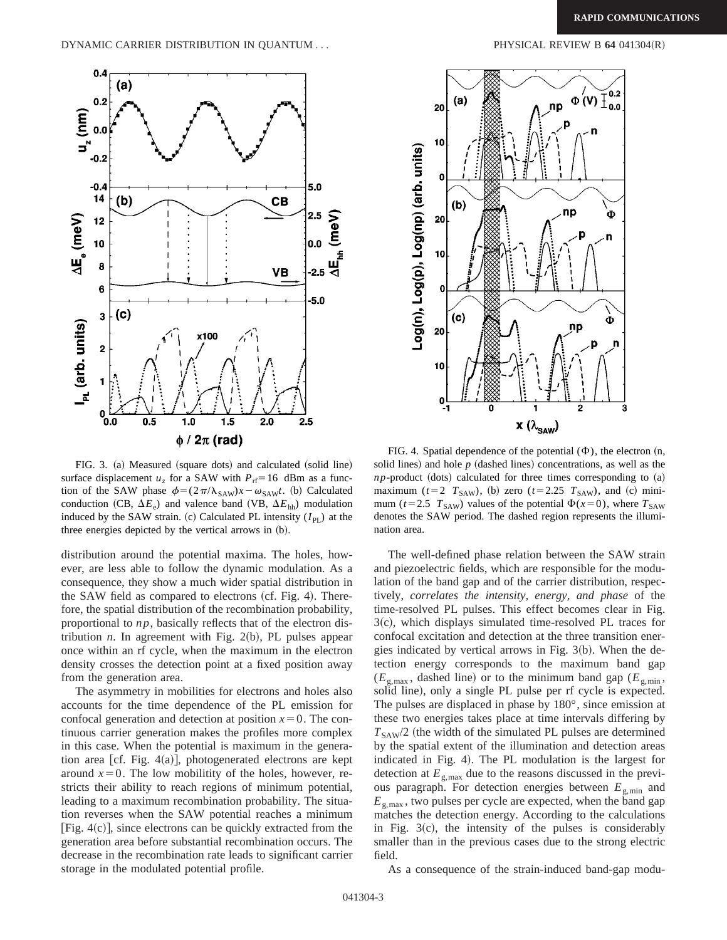

FIG. 3. (a) Measured (square dots) and calculated (solid line) surface displacement  $u_z$  for a SAW with  $P_{\text{rf}} = 16$  dBm as a function of the SAW phase  $\phi = (2\pi/\lambda_{SAW})x - \omega_{SAW}t$ . (b) Calculated conduction (CB,  $\Delta E_e$ ) and valence band (VB,  $\Delta E_{hh}$ ) modulation induced by the SAW strain.  $(c)$  Calculated PL intensity  $(I_{PI})$  at the three energies depicted by the vertical arrows in  $(b)$ .

distribution around the potential maxima. The holes, however, are less able to follow the dynamic modulation. As a consequence, they show a much wider spatial distribution in the SAW field as compared to electrons  $(cf. Fig. 4)$ . Therefore, the spatial distribution of the recombination probability, proportional to *np*, basically reflects that of the electron distribution  $n$ . In agreement with Fig. 2(b), PL pulses appear once within an rf cycle, when the maximum in the electron density crosses the detection point at a fixed position away from the generation area.

The asymmetry in mobilities for electrons and holes also accounts for the time dependence of the PL emission for confocal generation and detection at position  $x=0$ . The continuous carrier generation makes the profiles more complex in this case. When the potential is maximum in the generation area [cf. Fig. 4(a)], photogenerated electrons are kept around  $x=0$ . The low mobilitity of the holes, however, restricts their ability to reach regions of minimum potential, leading to a maximum recombination probability. The situation reverses when the SAW potential reaches a minimum [Fig.  $4(c)$ ], since electrons can be quickly extracted from the generation area before substantial recombination occurs. The decrease in the recombination rate leads to significant carrier storage in the modulated potential profile.



FIG. 4. Spatial dependence of the potential  $(\Phi)$ , the electron  $(n, \Phi)$ solid lines) and hole  $p$  (dashed lines) concentrations, as well as the  $np$ -product (dots) calculated for three times corresponding to  $(a)$ maximum ( $t=2$   $T_{SAW}$ ), (b) zero ( $t=2.25$   $T_{SAW}$ ), and (c) minimum ( $t=2.5$   $T_{SAW}$ ) values of the potential  $\Phi(x=0)$ , where  $T_{SAW}$ denotes the SAW period. The dashed region represents the illumination area.

The well-defined phase relation between the SAW strain and piezoelectric fields, which are responsible for the modulation of the band gap and of the carrier distribution, respectively, *correlates the intensity, energy, and phase* of the time-resolved PL pulses. This effect becomes clear in Fig.  $3(c)$ , which displays simulated time-resolved PL traces for confocal excitation and detection at the three transition energies indicated by vertical arrows in Fig.  $3(b)$ . When the detection energy corresponds to the maximum band gap  $(E_{\text{g,max}})$ , dashed line) or to the minimum band gap  $(E_{\text{g,min}})$ , solid line), only a single PL pulse per rf cycle is expected. The pulses are displaced in phase by 180°, since emission at these two energies takes place at time intervals differing by  $T_{SAW}/2$  (the width of the simulated PL pulses are determined by the spatial extent of the illumination and detection areas indicated in Fig. 4). The PL modulation is the largest for detection at  $E_{\rm g,max}$  due to the reasons discussed in the previous paragraph. For detection energies between  $E_{\text{g,min}}$  and  $E_{\text{g,max}}$ , two pulses per cycle are expected, when the band gap matches the detection energy. According to the calculations in Fig.  $3(c)$ , the intensity of the pulses is considerably smaller than in the previous cases due to the strong electric field.

As a consequence of the strain-induced band-gap modu-